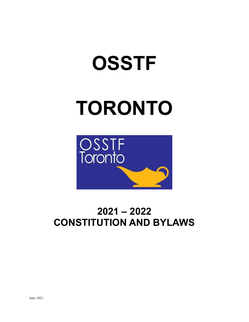## **OSSTF**

# **TORONTO**



## **2021 – 2022 CONSTITUTION AND BYLAWS**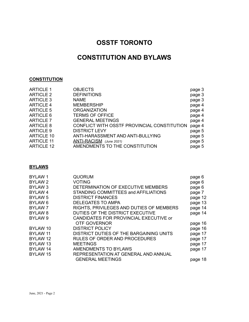### **OSSTF TORONTO**

### **CONSTITUTION AND BYLAWS**

#### **CONSTITUTION**

| <b>ARTICLE 1</b>  | <b>OBJECTS</b>                              | page 3 |
|-------------------|---------------------------------------------|--------|
| <b>ARTICLE 2</b>  | <b>DEFINITIONS</b>                          | page 3 |
| <b>ARTICLE 3</b>  | <b>NAME</b>                                 | page 3 |
| <b>ARTICLE 4</b>  | <b>MEMBERSHIP</b>                           | page 4 |
| <b>ARTICLE 5</b>  | <b>ORGANIZATION</b>                         | page 4 |
| ARTICLE 6         | <b>TERMS OF OFFICE</b>                      | page 4 |
| <b>ARTICLE 7</b>  | <b>GENERAL MEETINGS</b>                     | page 4 |
| <b>ARTICLE 8</b>  | CONFLICT WITH OSSTF PROVINCIAL CONSTITUTION | page 4 |
| <b>ARTICLE 9</b>  | <b>DISTRICT LEVY</b>                        | page 5 |
| <b>ARTICLE 10</b> | ANTI-HARASSMENT AND ANTI-BULLYING           | page 5 |
| <b>ARTICLE 11</b> | ANTI-RACISM (June 2021)                     | page 5 |
| <b>ARTICLE 12</b> | AMENDMENTS TO THE CONSTITUTION              | page 5 |
|                   |                                             |        |

#### **BYLAWS**

| BYLAW 1             | <b>QUORUM</b>                            | page 6  |
|---------------------|------------------------------------------|---------|
| BYLAW 2             | <b>VOTING</b>                            | page 6  |
| BYLAW <sub>3</sub>  | DETERMINATION OF EXECUTIVE MEMBERS       | page 6  |
| BYLAW <sub>4</sub>  | STANDING COMMITTEES and AFFILIATIONS     | page 7  |
| BYLAW <sub>5</sub>  | <b>DISTRICT FINANCES</b>                 | page 12 |
| BYLAW <sub>6</sub>  | <b>DELEGATES TO AMPA</b>                 | page 13 |
| <b>BYLAW7</b>       | RIGHTS, PRIVILEGES AND DUTIES OF MEMBERS | page 14 |
| BYLAW <sub>8</sub>  | DUTIES OF THE DISTRICT EXECUTIVE         | page 14 |
| BYLAW <sub>9</sub>  | CANDIDATES FOR PROVINCIAL EXECUTIVE or   |         |
|                     | <b>OTF GOVERNOR</b>                      | page 16 |
| BYLAW 10            | <b>DISTRICT POLICY</b>                   | page 16 |
| BYLAW 11            | DISTRICT DUTIES OF THE BARGAINING UNITS  | page 17 |
| BYLAW 12            | <b>RULES OF ORDER AND PROCEDURES</b>     | page 17 |
| BYLAW <sub>13</sub> | <b>MEETINGS</b>                          | page 17 |
| BYLAW 14            | AMENDMENTS TO BYLAWS                     | page 17 |
| BYLAW 15            | REPRESENTATION AT GENERAL AND ANNUAL     |         |
|                     | <b>GENERAL MEETINGS</b>                  | page 18 |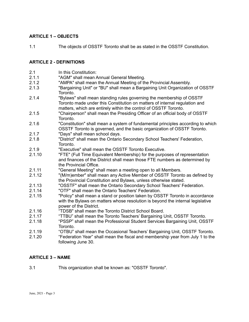#### **ARTICLE 1 – OBJECTS**

1.1 The objects of OSSTF Toronto shall be as stated in the OSSTF Constitution.

#### **ARTICLE 2 - DEFINITIONS**

- 2.1 In this Constitution:
- 2.1.1 "AGM" shall mean Annual General Meeting.
- 2.1.2 "AMPA" shall mean the Annual Meeting of the Provincial Assembly.
- 2.1.3 "Bargaining Unit" or "BU" shall mean a Bargaining Unit Organization of OSSTF Toronto.
- 2.1.4 "Bylaws" shall mean standing rules governing the membership of OSSTF Toronto made under this Constitution on matters of internal regulation and matters, which are entirely within the control of OSSTF Toronto.
- 2.1.5 "Chairperson" shall mean the Presiding Officer of an official body of OSSTF Toronto.
- 2.1.6 "Constitution" shall mean a system of fundamental principles according to which OSSTF Toronto is governed, and the basic organization of OSSTF Toronto.
- 2.1.7 "Days" shall mean school days.
- 2.1.8 "District" shall mean the Ontario Secondary School Teachers' Federation, Toronto.
- 2.1.9 "Executive" shall mean the OSSTF Toronto Executive.<br>2.1.10 "FTE" (Full Time Equivalent Membership) for the purpo
- "FTE" (Full Time Equivalent Membership) for the purposes of representation and finances of the District shall mean those FTE numbers as determined by the Provincial Office.
- 2.1.11 "General Meeting" shall mean a meeting open to all Members.
- 2.1.12 "(M/m)ember" shall mean any Active Member of OSSTF Toronto as defined by the Provincial Constitution and Bylaws, unless otherwise stated.
- 2.1.13 "OSSTF" shall mean the Ontario Secondary School Teachers' Federation.
- 2.1.14 "OTF" shall mean the Ontario Teachers' Federation.
- 2.1.15 "Policy" shall mean a stand or position taken by OSSTF Toronto in accordance with the Bylaws on matters whose resolution is beyond the internal legislative power of the District.
- 2.1.16 "TDSB" shall mean the Toronto District School Board.
- 2.1.17 "TTBU" shall mean the Toronto Teachers' Bargaining Unit, OSSTF Toronto.
- 2.1.18 "PSSP" shall mean the Professional Student Services Bargaining Unit, OSSTF Toronto.
- 
- 2.1.19 "OTBU" shall mean the Occasional Teachers' Bargaining Unit, OSSTF Toronto.<br>2.1.20 "Federation Year" shall mean the fiscal and membership vear from July 1 to the 2.1.20 "Federation Year" shall mean the fiscal and membership year from July 1 to the following June 30.

#### **ARTICLE 3 – NAME**

3.1 This organization shall be known as: "OSSTF Toronto".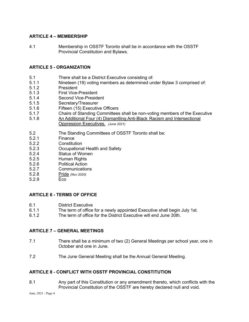#### **ARTICLE 4 – MEMBERSHIP**

4.1 Membership in OSSTF Toronto shall be in accordance with the OSSTF Provincial Constitution and Bylaws.

#### **ARTICLE 5 - ORGANIZATION**

- 5.1 There shall be a District Executive consisting of:
- 5.1.1 Nineteen (19) voting members as determined under Bylaw 3 comprised of:
- 5.1.2 President
- 5.1.3 First Vice-President
- 5.1.4 Second Vice-President
- 5.1.5 Secretary/Treasurer
- 5.1.6 Fifteen (15) Executive Officers
- 5.1.7 Chairs of Standing Committees shall be non-voting members of the Executive
- 5.1.8 An Additional Four (4) Dismantling Anti-Black Racism and Intersectional Oppression Executives. *(June 2021)*
- 5.2 The Standing Committees of OSSTF Toronto shall be:
- 5.2.1 Finance<br>5.2.2 Constitut
- **Constitution**
- 5.2.3 Occupational Health and Safety
- 5.2.4 Status of Women
- 5.2.5 Human Rights
- 5.2.6 Political Action
- 5.2.7 Communications
- 5.2.8 Pride *(Nov 2020)*
- 5.2.9 Eco

#### **ARTICLE 6 - TERMS OF OFFICE**

- 6.1 District Executive
- 6.1.1 The term of office for a newly appointed Executive shall begin July 1st.
- 6.1.2 The term of office for the District Executive will end June 30th.

#### **ARTICLE 7 – GENERAL MEETINGS**

- 7.1 There shall be a minimum of two (2) General Meetings per school year, one in October and one in June.
- 7.2 The June General Meeting shall be the Annual General Meeting.

#### **ARTICLE 8 - CONFLICT WITH OSSTF PROVINCIAL CONSTITUTION**

8.1 Any part of this Constitution or any amendment thereto, which conflicts with the Provincial Constitution of the OSSTF are hereby declared null and void.

June, 2021 - Page 4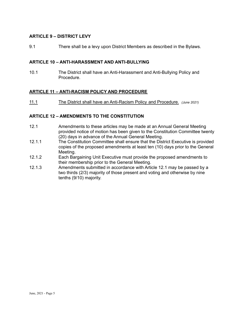#### **ARTICLE 9 – DISTRICT LEVY**

9.1 There shall be a levy upon District Members as described in the Bylaws.

#### **ARTICLE 10 – ANTI-HARASSMENT AND ANTI-BULLYING**

10.1 The District shall have an Anti-Harassment and Anti-Bullying Policy and Procedure.

#### **ARTICLE 11 – ANTI-RACISM POLICY AND PROCEDURE**

11.1 The District shall have an Anti-Racism Policy and Procedure. *(June 2021)*

#### **ARTICLE 12 – AMENDMENTS TO THE CONSTITUTION**

- 12.1 Amendments to these articles may be made at an Annual General Meeting provided notice of motion has been given to the Constitution Committee twenty (20) days in advance of the Annual General Meeting.
- 12.1.1 The Constitution Committee shall ensure that the District Executive is provided copies of the proposed amendments at least ten (10) days prior to the General Meeting.
- 12.1.2 Each Bargaining Unit Executive must provide the proposed amendments to their membership prior to the General Meeting.
- 12.1.3 Amendments submitted in accordance with Article 12.1 may be passed by a two thirds (2/3) majority of those present and voting and otherwise by nine tenths (9/10) majority.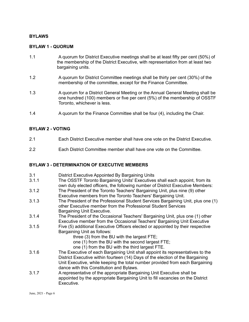#### **BYLAWS**

#### **BYLAW 1 - QUORUM**

- 1.1 A quorum for District Executive meetings shall be at least fifty per cent (50%) of the membership of the District Executive, with representation from at least two bargaining units.
- 1.2 A quorum for District Committee meetings shall be thirty per cent (30%) of the membership of the committee, except for the Finance Committee.
- 1.3 A quorum for a District General Meeting or the Annual General Meeting shall be one hundred (100) members or five per cent (5%) of the membership of OSSTF Toronto, whichever is less.
- 1.4 A quorum for the Finance Committee shall be four (4), including the Chair.

#### **BYLAW 2 - VOTING**

- 2.1 Each District Executive member shall have one vote on the District Executive.
- 2.2 Each District Committee member shall have one vote on the Committee.

#### **BYLAW 3 - DETERMINATION OF EXECUTIVE MEMBERS**

- 3.1 District Executive Appointed By Bargaining Units
- 3.1.1 The OSSTF Toronto Bargaining Units' Executives shall each appoint, from its own duly elected officers, the following number of District Executive Members:
- 3.1.2 The President of the Toronto Teachers' Bargaining Unit, plus nine (9) other Executive members from the Toronto Teachers' Bargaining Unit.
- 3.1.3 The President of the Professional Student Services Bargaining Unit, plus one (1) other Executive member from the Professional Student Services Bargaining Unit Executive.
- 3.1.4 The President of the Occasional Teachers' Bargaining Unit, plus one (1) other Executive member from the Occasional Teachers' Bargaining Unit Executive
- 3.1.5 Five (5) additional Executive Officers elected or appointed by their respective Bargaining Unit as follows:
	- three (3) from the BU with the largest FTE;
	- one (1) from the BU with the second largest FTE;
	- one (1) from the BU with the third largest FTE.
- 3.1.6 The Executive of each Bargaining Unit shall appoint its representatives to the District Executive within fourteen (14) Days of the election of the Bargaining Unit Executive, while keeping the total number provided from each Bargaining dance with this Constitution and Bylaws.
- 3.1.7 A representative of the appropriate Bargaining Unit Executive shall be appointed by the appropriate Bargaining Unit to fill vacancies on the District Executive.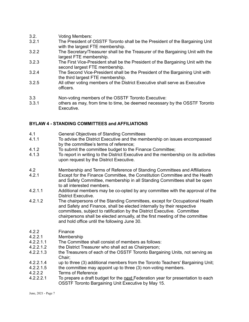- 3.2. Voting Members:
- 3.2.1 The President of OSSTF Toronto shall be the President of the Bargaining Unit with the largest FTE membership.
- 3.2.2 The Secretary/Treasurer shall be the Treasurer of the Bargaining Unit with the largest FTE membership.
- 3.2.3 The First Vice-President shall be the President of the Bargaining Unit with the second largest FTE membership.
- 3.2.4 The Second Vice-President shall be the President of the Bargaining Unit with the third largest FTE membership.
- 3.2.5 All other voting members of the District Executive shall serve as Executive officers.
- 3.3 Non-voting members of the OSSTF Toronto Executive:<br>3.3.1 others as may, from time to time, be deemed necessary
- others as may, from time to time, be deemed necessary by the OSSTF Toronto Executive.

#### **BYLAW 4 - STANDING COMMITTEES and AFFILIATIONS**

- 4.1 General Objectives of Standing Committees
- 4.1.1 To advise the District Executive and the membership on issues encompassed by the committee's terms of reference;
- 4.1.2 To submit the committee budget to the Finance Committee;
- 4.1.3 To report in writing to the District Executive and the membership on its activities upon request by the District Executive.
- 4.2 Membership and Terms of Reference of Standing Committees and Affiliations
- 4.2.1 Except for the Finance Committee, the Constitution Committee and the Health and Safety Committee, membership in all Standing Committees shall be open to all interested members.
- 4.2.1.1 Additional members may be co-opted by any committee with the approval of the District Executive.
- 4.2.1.2 The chairpersons of the Standing Committees, except for Occupational Health and Safety and Finance, shall be elected internally by their respective committees, subject to ratification by the District Executive. Committee chairpersons shall be elected annually, at the first meeting of the committee and hold office until the following June 30.
- 4.2.2 Finance
- 4.2.2.1 Membership
- 4.2.2.1.1 The Committee shall consist of members as follows:
- 4.2.2.1.2 the District Treasurer who shall act as Chairperson;
- 4.2.2.1.3 the Treasurers of each of the OSSTF Toronto Bargaining Units, not serving as Chair;
- 4.2.2.1.4 up to three (3) additional members from the Toronto Teachers' Bargaining Unit;<br>4.2.2.1.5 the committee mav appoint up to three (3) non-voting members.
- the committee may appoint up to three (3) non-voting members.
- 4.2.2.2 Terms of Reference
- 4.2.2.2.1 To prepare a draft budget for the next Federation year for presentation to each OSSTF Toronto Bargaining Unit Executive by May 15.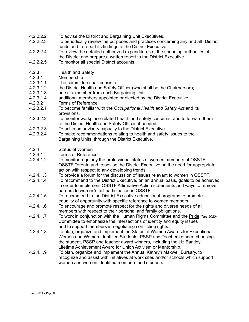- 4.2.2.2.2 To advise the District and Bargaining Unit Executives.
- 4.2.2.2.3 To periodically review the purposes and practices concerning any and all District funds and to report its findings to the District Executive.
- 4.2.2.2.4 To review the detailed authorized expenditures of the spending authorities of the District and prepare a written report to the District Executive.
- 4.2.2.2.5 To monitor all special District accounts.
- 4.2.3 Health and Safety
- 4.2.3.1 Membership
- 4.2.3.1.1 The committee shall consist of:
- 4.2.3.1.2 the District Health and Safety Officer (who shall be the Chairperson);
- 4.2.3.1.3 one (1) member from each Bargaining Unit;
- 4.2.3.1.4 additional members appointed or elected by the District Executive.<br>4.2.3.2 Terms of Reference
- 4.2.3.2 Terms of Reference<br>4 2 3 2 1 To become familiar v
- 4.2.3.2.1 To become familiar with the *Occupational Health and Safety Act* and its provisions.
- 4.2.3.2.2 To monitor workplace-related health and safety concerns, and to forward them to the District Health and Safety Officer, if needed.
- 4.2.3.2.3 To act in an advisory capacity to the District Executive.
- 4.2.3.2.4 To make recommendations relating to health and safety issues to the Bargaining Units, through the District Executive.
- 4.2.4 Status of Women<br>4.2.4.1 Terms of Reference
- Terms of Reference:
- 4.2.4.1.2 To monitor regularly the professional status of women members of OSSTF OSSTF Toronto and to advise the District Executive on the need for appropriate action with respect to any developing trends.
- 4.2.4.1.3 To provide a forum for the discussion of issues relevant to women in OSSTF.
- 4.2.4.1.4 To recommend to the District Executive, on an annual basis, goals to be achieved in order to implement OSSTF Affirmative Action statements and ways to remove barriers to women's full participation in OSSTF.
- 4.2.4.1.5 To recommend to the District Executive educational programs to promote equality of opportunity with specific reference to women members.
- 4.2.4.1.6 To encourage and promote respect for the rights and diverse needs of all members with respect to their personal and family obligations.
- 4.2.4.1.7 To work in conjunction with the Human Rights Committee and the Pride *(Nov 2020)* Committee to emphasize the intersections of identity and equity issues and to support members in negotiating conflicting rights.
- 4.2.4.1.8 To plan, organize and implement the Status of Women Awards for Exceptional Women and Women-identified Students, PSSP and Teachers dinner; choosing the student, PSSP and teacher award winners, including the Liz Barkley Lifetime Achievement Award for Union Activism or Mentorship.
- 4.2.4.1.9 To plan, organize and implement the Annual Kathryn Maxwell Bursary, to recognize and assist with initiatives at work sites and/or schools which support women and women identified members and students.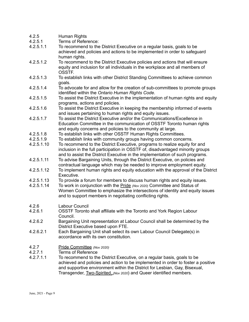| 4.2.5      | Human Rights                                                                      |
|------------|-----------------------------------------------------------------------------------|
| 4.2.5.1    | Terms of Reference:                                                               |
| 4.2.5.1.1  | To recommend to the District Executive on a regular basis, goals to be            |
|            | achieved and policies and actions to be implemented in order to safeguard         |
|            | human rights.                                                                     |
| 4.2.5.1.2  | To recommend to the District Executive policies and actions that will ensure      |
|            | equity and inclusion for all individuals in the workplace and all members of      |
|            | OSSTF.                                                                            |
| 4.2.5.1.3  | To establish links with other District Standing Committees to achieve common      |
|            | goals.                                                                            |
| 4.2.5.1.4  | To advocate for and allow for the creation of sub-committees to promote groups    |
|            | identified within the Ontario Human Rights Code.                                  |
| 4.2.5.1.5  | To assist the District Executive in the implementation of human rights and equity |
|            | programs, actions and policies.                                                   |
| 4.2.5.1.6  | To assist the District Executive in keeping the membership informed of events     |
|            | and issues pertaining to human rights and equity issues.                          |
| 4.2.5.1.7  | To assist the District Executive and/or the Communications/Excellence in          |
|            | Education Committee in the communication of OSSTF Toronto human rights            |
|            | and equity concerns and policies to the community at large.                       |
| 4.2.5.1.8  | To establish links with other OSSTF Human Rights Committees.                      |
| 4.2.5.1.9  | To establish links with community groups having common concerns.                  |
| 4.2.5.1.10 | To recommend to the District Executive, programs to realize equity for and        |
|            | inclusion in the full participation in OSSTF of, disadvantaged minority groups    |
|            | and to assist the District Executive in the implementation of such programs.      |
| 4.2.5.1.11 | To advise Bargaining Units, through the District Executive, on policies and       |
|            | contractual language which may be needed to improve employment equity.            |
| 4.2.5.1.12 | To implement human rights and equity education with the approval of the District  |
|            | Executive.                                                                        |
| 4.2.5.1.13 | To provide a forum for members to discuss human rights and equity issues.         |
| 4.2.5.1.14 | To work in conjunction with the Pride (Nov 2020) Committee and Status of          |
|            | Women Committee to emphasize the intersections of identity and equity issues      |
|            | and to support members in negotiating conflicting rights.                         |
|            |                                                                                   |
| 4.2.6      | Labour Council                                                                    |
| 4.2.6.1    | OSSTF Toronto shall affiliate with the Toronto and York Region Labour             |
|            | Council.                                                                          |
| 4.2.6.2    | Bargaining Unit representation at Labour Council shall be determined by the       |
|            | District Executive based upon FTE.                                                |
| 4.2.6.2.1  | Each Bargaining Unit shall select its own Labour Council Delegate(s) in           |
|            | accordance with its own constitution.                                             |
|            |                                                                                   |
| 4.2.7      | Pride Committee (Nov 2020)                                                        |
| 4.2.7.1    | <b>Terms of Reference</b>                                                         |
| 4.2.7.1.1  | To recommend to the District Executive, on a regular basis, goals to be           |
|            | achieved and policies and action to be implemented in order to foster a positive  |

and supportive environment within the District for Lesbian, Gay, Bisexual, Transgender, Two-Spirited, *(Nov 2020*) and Queer identified members.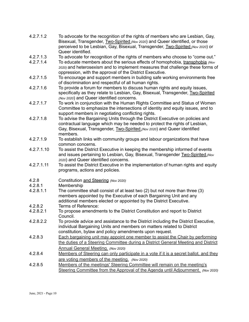- 4.2.7.1.2 To advocate for the recognition of the rights of members who are Lesbian, Gay, Bisexual, Transgender, Two-Spirited *(Nov 2020*) and Queer identified, or those perceived to be Lesbian, Gay, Bisexual, Transgender, Two-Spirited *(Nov 2020*) or Queer identified.
- 4.2.7.1.3 To advocate for recognition of the rights of members who choose to "come out."
- 4.2.7.1.4 To educate members about the serious effects of homophobia, transphobia *(Nov 2020)* and heterosexism and to implement measures that challenge these forms of oppression, with the approval of the District Executive.
- 4.2.7.1.5 To encourage and support members in building safe working environments free of discrimination and respectful of all human rights.
- 4.2.7.1.6 To provide a forum for members to discuss human rights and equity issues, specifically as they relate to Lesbian, Gay, Bisexual, Transgender, Two-Spirited *(Nov 2020*) and Queer identified concerns.
- 4.2.7.1.7 To work in conjunction with the Human Rights Committee and Status of Women Committee to emphasize the intersections of identity and equity issues, and to support members in negotiating conflicting rights.
- 4.2.7.1.8 To advise the Bargaining Units through the District Executive on policies and contractual language which may be needed to protect the rights of Lesbian, Gay, Bisexual, Transgender, Two-Spirited *(Nov 2020*) and Queer identified members.
- 4.2.7.1.9 To establish links with community groups and labour organizations that have common concerns.
- 4.2.7.1.10 To assist the District Executive in keeping the membership informed of events and issues pertaining to Lesbian, Gay, Bisexual, Transgender Two-Spirited *(Nov 2020*) and Queer identified concerns.
- 4.2.7.1.11 To assist the District Executive in the implementation of human rights and equity programs, actions and policies.
- 4.2.8 Constitution and Steering *(Nov 2020)*
- 4.2.8.1 Membership
- 4.2.8.1.1 The committee shall consist of at least two (2) but not more than three (3) members appointed by the Executive of each Bargaining Unit and any additional members elected or appointed by the District Executive.
- 4.2.8.2 Terms of Reference:
- 4.2.8.2.1 To propose amendments to the District Constitution and report to District Council.
- 4.2.8.2.2 To provide advice and assistance to the District including the District Executive, individual Bargaining Units and members on matters related to District constitution, bylaw and policy amendments upon request.
- 4.2.8.3 Each bargaining unit may appoint one member to assist the Chair by performing the duties of a Steering Committee during a District General Meeting and District Annual General Meeting. *(Nov 2020)*
- 4.2.8.4 Members of Steering can only participate in a vote if it is a secret ballot, and they are voting members of the meeting. *(Nov 2020)*
- 4.2.8.5 Members of the meetings' Steering Committee will remain on the meeting's Steering Committee from the Approval of the Agenda until Adjournment. *(Nov 2020)*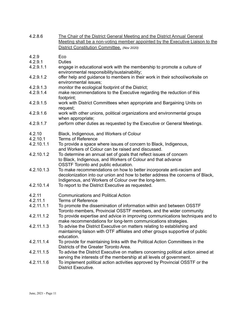| 4.2.8.6    | The Chair of the District General Meeting and the District Annual General<br>Meeting shall be a non-voting member appointed by the Executive Liaison to the<br>District Constitution Committee. (Nov 2020)      |
|------------|-----------------------------------------------------------------------------------------------------------------------------------------------------------------------------------------------------------------|
| 4.2.9      | Eco                                                                                                                                                                                                             |
| 4.2.9.1    | <b>Duties</b>                                                                                                                                                                                                   |
| 4.2.9.1.1  | engage in educational work with the membership to promote a culture of<br>environmental responsibility/sustainability;                                                                                          |
| 4.2.9.1.2  | offer help and guidance to members in their work in their school/worksite on<br>environmental issues;                                                                                                           |
| 4.2.9.1.3  | monitor the ecological footprint of the District;                                                                                                                                                               |
| 4.2.9.1.4  | make recommendations to the Executive regarding the reduction of this<br>footprint;                                                                                                                             |
| 4.2.9.1.5  | work with District Committees when appropriate and Bargaining Units on<br>request;                                                                                                                              |
| 4.2.9.1.6  | work with other unions, political organizations and environmental groups<br>when appropriate;                                                                                                                   |
| 4.2.9.1.7  | perform other duties as requested by the Executive or General Meetings.                                                                                                                                         |
| 4.2.10     | Black, Indigenous, and Workers of Colour                                                                                                                                                                        |
| 4.2.10.1   | <b>Terms of Reference</b>                                                                                                                                                                                       |
| 4.2.10.1.1 | To provide a space where issues of concern to Black, Indigenous,<br>and Workers of Colour can be raised and discussed.                                                                                          |
| 4.2.10.1.2 | To determine an annual set of goals that reflect issues of concern<br>to Black, Indigenous, and Workers of Colour and that advance<br>OSSTF Toronto and public education.                                       |
| 4.2.10.1.3 | To make recommendations on how to better incorporate anti-racism and<br>decolonization into our union and how to better address the concerns of Black,<br>Indigenous, and Workers of Colour over the long-term. |
| 4.2.10.1.4 | To report to the District Executive as requested.                                                                                                                                                               |
| 4.2.11     | <b>Communications and Political Action</b>                                                                                                                                                                      |
| 4.2.11.1   | <b>Terms of Reference</b>                                                                                                                                                                                       |
| 4.2.11.1.1 | To promote the dissemination of information within and between OSSTF<br>Toronto members, Provincial OSSTF members, and the wider community.                                                                     |
| 4.2.11.1.2 | To provide expertise and advice in improving communications techniques and to<br>make recommendations for long-term communications strategies.                                                                  |
| 4.2.11.1.3 | To advise the District Executive on matters relating to establishing and<br>maintaining liaison with OTF affiliates and other groups supportive of public<br>education.                                         |
| 4.2.11.1.4 | To provide for maintaining links with the Political Action Committees in the<br>Districts of the Greater Toronto Area.                                                                                          |
| 4.2.11.1.5 | To advise the District Executive on matters concerning political action aimed at<br>serving the interests of the membership at all levels of government.                                                        |
| 4.2.11.1.6 | To implement political action activities approved by Provincial OSSTF or the<br>District Executive.                                                                                                             |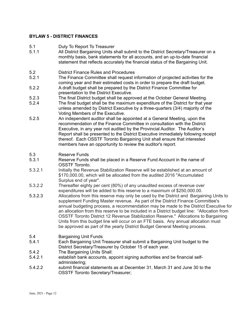#### **BYLAW 5 - DISTRICT FINANCES**

- 5.1 Duty To Report To Treasurer
- 5.1.1 All District Bargaining Units shall submit to the District Secretary/Treasurer on a monthly basis, bank statements for all accounts, and an up-to-date financial statement that reflects accurately the financial status of the Bargaining Unit.
- 5.2 District Finance Rules and Procedures
- 5.2.1 The Finance Committee shall request information of projected activities for the coming year and their estimated costs in order to prepare the draft budget.
- 5.2.2 A draft budget shall be prepared by the District Finance Committee for presentation to the District Executive.
- 5.2.3 The final District budget shall be approved at the October General Meeting.
- 5.2.4 The final budget shall be the maximum expenditure of the District for that year unless amended by District Executive by a three-quarters (3/4) majority of the Voting Members of the Executive.
- 5.2.5 An independent auditor shall be appointed at a General Meeting, upon the recommendation of the Finance Committee in consultation with the District Executive, in any year not audited by the Provincial Auditor. The Auditor's Report shall be presented to the District Executive immediately following receipt thereof. Each OSSTF Toronto Bargaining Unit shall ensure that interested members have an opportunity to review the auditor's report.
- 5.3 Reserve Funds
- 5.3.1 Reserve Funds shall be placed in a Reserve Fund Account in the name of OSSTF Toronto.
- 5.3.2.1 Initially the Revenue Stabilization Reserve will be established at an amount of \$170,000.00, which will be allocated from the audited 2016 "Accumulated Surplus end of year".
- 5.3.2.2 Thereafter eighty per cent (80%) of any unaudited excess of revenue over expenditures will be added to this reserve to a maximum of \$250,000.00.
- 5.3.2.3 Allocations from this reserve may only be used by the District and Bargaining Units to supplement Funding Master revenue. As part of the District Finance Committee's annual budgeting process, a recommendation may be made to the District Executive for an allocation from this reserve to be included in a District budget line: "Allocation from OSSTF Toronto District 12 Revenue Stabilization Reserve." Allocations to Bargaining Units from this budget line will occur on an FTE basis. Any annual allocation must be approved as part of the yearly District Budget General Meeting process.
- 5.4 Bargaining Unit Funds
- 5.4.1 Each Bargaining Unit Treasurer shall submit a Bargaining Unit budget to the District Secretary/Treasurer by October 15 of each year.
- 5.4.2 The Bargaining Units Shall:
- 5.4.2.1 establish bank accounts, appoint signing authorities and be financial selfadministering;
- 5.4.2.2 submit financial statements as at December 31, March 31 and June 30 to the OSSTF Toronto Secretary/Treasurer;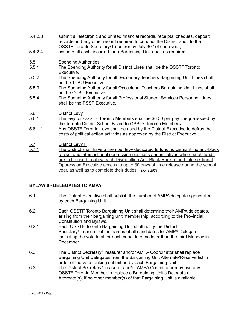- 5.4.2.3 submit all electronic and printed financial records, receipts, cheques, deposit records and any other record required to conduct the District audit to the OSSTF Toronto Secretary/Treasurer by July 30<sup>th</sup> of each year;
- 5.4.2.4 assume all costs incurred for a Bargaining Unit audit as required.
- 5.5 Spending Authorities
- 5.5.1 The Spending Authority for all District Lines shall be the OSSTF Toronto Executive.
- 5.5.2 The Spending Authority for all Secondary Teachers Bargaining Unit Lines shall be the TTBU Executive.
- 5.5.3 The Spending Authority for all Occasional Teachers Bargaining Unit Lines shall be the OTBU Executive.
- 5.5.4 The Spending Authority for all Professional Student Services Personnel Lines shall be the PSSP Executive.

#### 5.6 District Levy

- 5.6.1 The levy for OSSTF Toronto Members shall be \$0.50 per pay cheque issued by the Toronto District School Board to OSSTF Toronto Members.
- 5.6.1.1 Any OSSTF Toronto Levy shall be used by the District Executive to defray the costs of political action activities as approved by the District Executive.

## 5.7 District Levy II<br>5.7.1 The District sha

The District shall have a member levy dedicated to funding dismantling anti-black racism and intersectional oppression positions and initiatives where such funds are to be used to allow each Dismantling Anti-Black Racism and Intersectional Oppression Executive access to up to 30 days of time release during the school year, as well as to complete their duties. *(June 2021)*

#### **BYLAW 6 - DELEGATES TO AMPA**

- 6.1 The District Executive shall publish the number of AMPA delegates generated by each Bargaining Unit.
- 6.2 Each OSSTF Toronto Bargaining Unit shall determine their AMPA delegates, arising from their bargaining unit membership, according to the Provincial Constitution and Bylaws.
- 6.2.1 Each OSSTF Toronto Bargaining Unit shall notify the District Secretary/Treasurer of the names of all candidates for AMPA Delegate, indicating the vote total for each candidate, no later than the third Monday in December.
- 6.3 The District Secretary/Treasurer and/or AMPA Coordinator shall replace Bargaining Unit Delegates from the Bargaining Unit Alternate/Reserve list in order of the vote ranking submitted by each Bargaining Unit.
- 6.3.1 The District Secretary/Treasurer and/or AMPA Coordinator may use any OSSTF Toronto Member to replace a Bargaining Unit's Delegate or Alternate(s), if no other member(s) of that Bargaining Unit is available.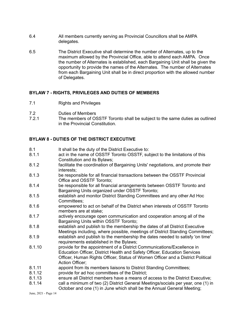- 6.4 All members currently serving as Provincial Councillors shall be AMPA delegates.
- 6.5 The District Executive shall determine the number of Alternates, up to the maximum allowed by the Provincial Office, able to attend each AMPA. Once the number of Alternates is established, each Bargaining Unit shall be given the opportunity to provide the names of the Alternates. The number of Alternates from each Bargaining Unit shall be in direct proportion with the allowed number of Delegates.

#### **BYLAW 7 - RIGHTS, PRIVILEGES AND DUTIES OF MEMBERS**

- 7.1 Rights and Privileges
- 7.2 Duties of Members
- 7.2.1 The members of OSSTF Toronto shall be subject to the same duties as outlined in the Provincial Constitution.

#### **BYLAW 8 - DUTIES OF THE DISTRICT EXECUTIVE**

- 8.1 It shall be the duty of the District Executive to:<br>8.1.1 act in the name of OSSTF Toronto OSSTF, sulf
- act in the name of OSSTF Toronto OSSTF, subject to the limitations of this Constitution and its Bylaws;
- 8.1.2 facilitate the coordination of Bargaining Units' negotiations, and promote their interests;
- 8.1.3 be responsible for all financial transactions between the OSSTF Provincial Office and OSSTF Toronto;
- 8.1.4 be responsible for all financial arrangements between OSSTF Toronto and Bargaining Units organized under OSSTF Toronto;
- 8.1.5 establish and monitor District Standing Committees and any other Ad Hoc Committees;
- 8.1.6 empowered to act on behalf of the District when interests of OSSTF Toronto members are at stake;
- 8.1.7 actively encourage open communication and cooperation among all of the Bargaining Units within OSSTF Toronto;
- 8.1.8 establish and publish to the membership the dates of all District Executive Meetings including, where possible, meetings of District Standing Committees;
- 8.1.9 establish and publish to the membership the dates needed to satisfy 'on time' requirements established in the Bylaws;
- 8.1.10 provide for the appointment of a District Communications/Excellence in Education Officer, District Health and Safety Officer, Education Services Officer, Human Rights Officer, Status of Women Officer and a District Political Action Officer;
- 8.1.11 appoint from its members liaisons to District Standing Committees;
- 8.1.12 provide for ad hoc committees of the District;
- 8.1.13 ensure all District members have a means of access to the District Executive;
- 8.1.14 call a minimum of two (2) District General Meetings/socials per year, one (1) in October and one (1) in June which shall be the Annual General Meeting;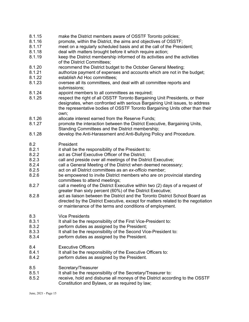- 8.1.15 make the District members aware of OSSTF Toronto policies;
- 8.1.16 promote, within the District, the aims and objectives of OSSTF;
- 8.1.17 meet on a regularly scheduled basis and at the call of the President;
- 8.1.18 deal with matters brought before it which require action;
- 8.1.19 keep the District membership informed of its activities and the activities of the District Committees;
- 8.1.20 recommend the District budget to the October General Meeting;
- 8.1.21 authorize payment of expenses and accounts which are not in the budget;
- 8.1.22 establish Ad Hoc committees;
- 8.1.23 oversee all its committees, and deal with all committee reports and submissions;
- 8.1.24 appoint members to all committees as required;
- 8.1.25 respect the right of all OSSTF Toronto Bargaining Unit Presidents, or their designates, when confronted with serious Bargaining Unit issues, to address the representative bodies of OSSTF Toronto Bargaining Units other than their own;
- 8.1.26 allocate interest earned from the Reserve Funds;
- 8.1.27 promote the interaction between the District Executive, Bargaining Units, Standing Committees and the District membership;
- 8.1.28 develop the Anti-Harassment and Anti-Bullying Policy and Procedure.

#### 8.2 President

- 8.2.1 it shall be the responsibility of the President to:<br>8.2.2 act as Chief Executive Officer of the District:
- act as Chief Executive Officer of the District;
- 8.2.3 call and preside over all meetings of the District Executive;
- 8.2.4 call a General Meeting of the District when deemed necessary;
- 8.2.5 act on all District committees as an *ex-officio* member;
- 8.2.6 be empowered to invite District members who are on provincial standing committees to attend meetings;
- 8.2.7 call a meeting of the District Executive within two (2) days of a request of greater than sixty percent (60%) of the District Executive;
- 8.2.8 act as liaison between the District and the Toronto District School Board as directed by the District Executive, except for matters related to the negotiation or maintenance of the terms and conditions of employment.

## 8.3 Vice Presidents<br>8.3.1 It shall be the real

- It shall be the responsibility of the First Vice-President to:
- 8.3.2 perform duties as assigned by the President;
- 8.3.3 It shall be the responsibility of the Second Vice-President to:
- 8.3.4 perform duties as assigned by the President.
- 8.4 Executive Officers
- 8.4.1 It shall be the responsibility of the Executive Officers to:
- 8.4.2 perform duties as assigned by the President.
- 8.5 Secretary/Treasurer
- 8.5.1 It shall be the responsibility of the Secretary/Treasurer to:
- 8.5.2 receive, hold and disburse all moneys of the District according to the OSSTF Constitution and Bylaws, or as required by law;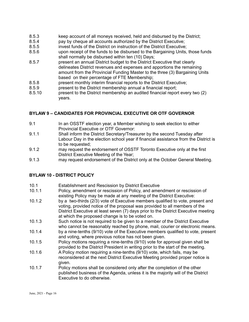- 8.5.3 keep account of all moneys received, held and disbursed by the District;
- 8.5.4 pay by cheque all accounts authorized by the District Executive;
- 8.5.5 invest funds of the District on instruction of the District Executive;
- 8.5.6 upon receipt of the funds to be disbursed to the Bargaining Units, those funds shall normally be disbursed within ten (10) Days;
- 8.5.7 present an annual District budget to the District Executive that clearly delineates District revenues and expenses and apportions the remaining amount from the Provincial Funding Master to the three (3) Bargaining Units based on their percentage of FTE Membership;
- 8.5.8 present monthly interim financial reports to the District Executive;
- 8.5.9 **present to the District membership annual a financial report:**
- 8.5.10 present to the District membership an audited financial report every two (2) years.

#### **BYLAW 9 – CANDIDATES FOR PROVINCIAL EXECUTIVE OR OTF GOVERNOR**

- 9.1 In an OSSTF election year, a Member wishing to seek election to either Provincial Executive or OTF Governor:
- 9.1.1 Shall inform the District Secretary/Treasurer by the second Tuesday after Labour Day in the election school year if financial assistance from the District is to be requested;
- 9.1.2 may request the endorsement of OSSTF Toronto Executive only at the first District Executive Meeting of the Year;
- 9.1.3 may request endorsement of the District only at the October General Meeting.

#### **BYLAW 10 - DISTRICT POLICY**

- 10.1 **Establishment and Rescission by District Executive**<br>10.1.1 Policy, amendment or rescission of Policy, and ame
- Policy, amendment or rescission of Policy, and amendment or rescission of existing Policy may be made at any meeting of the District Executive:
- 10.1.2 by a two-thirds (2/3) vote of Executive members qualified to vote, present and voting, provided notice of the proposal was provided to all members of the District Executive at least seven (7) days prior to the District Executive meeting at which the proposed change is to be voted on.
- 10.1.3 Such notice is not required to be given to a member of the District Executive who cannot be reasonably reached by phone, mail, courier or electronic means.
- 10.1.4 by a nine-tenths (9/10) vote of the Executive members qualified to vote, present and voting, where previous notice has not been given.
- 10.1.5 Policy motions requiring a nine-tenths (9/10) vote for approval given shall be provided to the District President in writing prior to the start of the meeting.
- 10.1.6 A Policy motion requiring a nine-tenths (9/10) vote, which fails, may be reconsidered at the next District Executive Meeting provided proper notice is given.
- 10.1.7 Policy motions shall be considered only after the completion of the other published business of the Agenda, unless it is the majority will of the District Executive to do otherwise.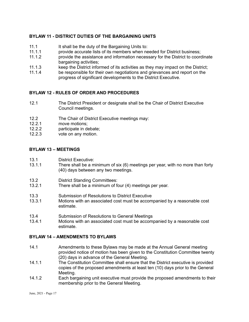#### **BYLAW 11 - DISTRICT DUTIES OF THE BARGAINING UNITS**

- 11.1 It shall be the duty of the Bargaining Units to:
- 11.1.1 provide accurate lists of its members when needed for District business;
- 11.1.2 provide the assistance and information necessary for the District to coordinate bargaining activities;
- 11.1.3 keep the District informed of its activities as they may impact on the District;
- 11.1.4 be responsible for their own negotiations and grievances and report on the progress of significant developments to the District Executive.

#### **BYLAW 12 - RULES OF ORDER AND PROCEDURES**

- 12.1 The District President or designate shall be the Chair of District Executive Council meetings.
- 12.2 The Chair of District Executive meetings may:
- 12.2.1 move motions;
- 12.2.2 participate in debate;
- 12.2.3 vote on any motion.

#### **BYLAW 13 – MEETINGS**

- 13.1 District Executive:
- 13.1.1 There shall be a minimum of six (6) meetings per year, with no more than forty (40) days between any two meetings.
- 13.2 District Standing Committees:
- 13.2.1 There shall be a minimum of four (4) meetings per year.
- 13.3 Submission of Resolutions to District Executive
- 13.3.1 Motions with an associated cost must be accompanied by a reasonable cost estimate.
- 13.4 Submission of Resolutions to General Meetings
- 13.4.1 Motions with an associated cost must be accompanied by a reasonable cost estimate.

#### **BYLAW 14 – AMENDMENTS TO BYLAWS**

- 14.1 Amendments to these Bylaws may be made at the Annual General meeting provided notice of motion has been given to the Constitution Committee twenty (20) days in advance of the General Meeting.
- 14.1.1 The Constitution Committee shall ensure that the District executive is provided copies of the proposed amendments at least ten (10) days prior to the General Meeting.
- 14.1.2 Each bargaining unit executive must provide the proposed amendments to their membership prior to the General Meeting.